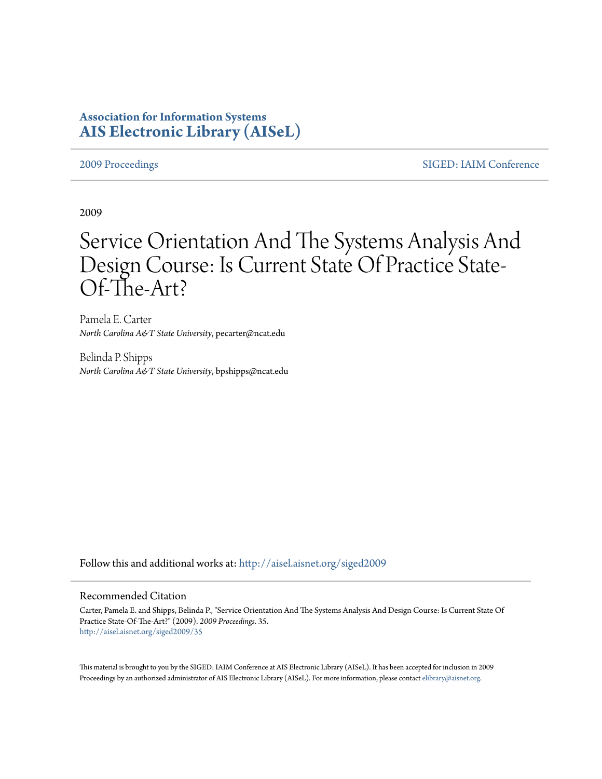## **Association for Information Systems [AIS Electronic Library \(AISeL\)](http://aisel.aisnet.org?utm_source=aisel.aisnet.org%2Fsiged2009%2F35&utm_medium=PDF&utm_campaign=PDFCoverPages)**

[2009 Proceedings](http://aisel.aisnet.org/siged2009?utm_source=aisel.aisnet.org%2Fsiged2009%2F35&utm_medium=PDF&utm_campaign=PDFCoverPages) [SIGED: IAIM Conference](http://aisel.aisnet.org/siged?utm_source=aisel.aisnet.org%2Fsiged2009%2F35&utm_medium=PDF&utm_campaign=PDFCoverPages)

2009

# Service Orientation And The Systems Analysis And Design Course: Is Current State Of Practice State-Of-The-Art?

Pamela E. Carter *North Carolina A&T State University*, pecarter@ncat.edu

Belinda P. Shipps *North Carolina A&T State University*, bpshipps@ncat.edu

Follow this and additional works at: [http://aisel.aisnet.org/siged2009](http://aisel.aisnet.org/siged2009?utm_source=aisel.aisnet.org%2Fsiged2009%2F35&utm_medium=PDF&utm_campaign=PDFCoverPages)

#### Recommended Citation

Carter, Pamela E. and Shipps, Belinda P., "Service Orientation And The Systems Analysis And Design Course: Is Current State Of Practice State-Of-The-Art?" (2009). *2009 Proceedings*. 35. [http://aisel.aisnet.org/siged2009/35](http://aisel.aisnet.org/siged2009/35?utm_source=aisel.aisnet.org%2Fsiged2009%2F35&utm_medium=PDF&utm_campaign=PDFCoverPages)

This material is brought to you by the SIGED: IAIM Conference at AIS Electronic Library (AISeL). It has been accepted for inclusion in 2009 Proceedings by an authorized administrator of AIS Electronic Library (AISeL). For more information, please contact [elibrary@aisnet.org](mailto:elibrary@aisnet.org%3E).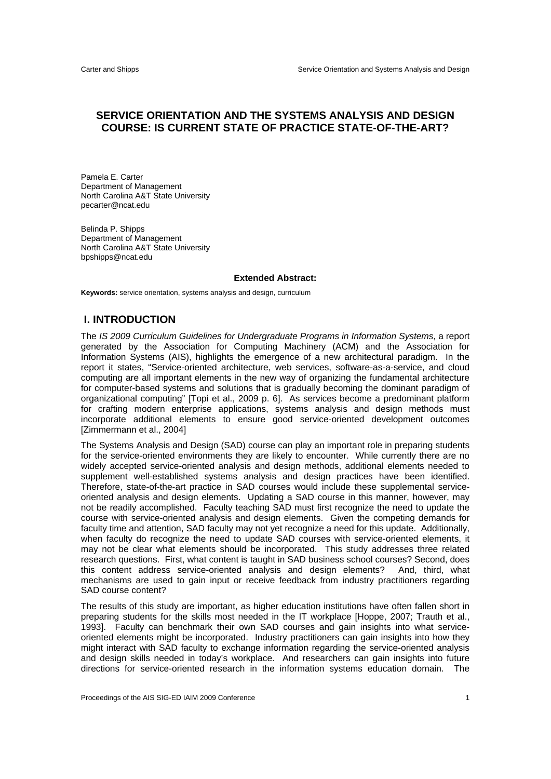### **SERVICE ORIENTATION AND THE SYSTEMS ANALYSIS AND DESIGN COURSE: IS CURRENT STATE OF PRACTICE STATE-OF-THE-ART?**

Pamela E. Carter Department of Management North Carolina A&T State University pecarter@ncat.edu

Belinda P. Shipps Department of Management North Carolina A&T State University bpshipps@ncat.edu

#### **Extended Abstract:**

**Keywords:** service orientation, systems analysis and design, curriculum

### **I. INTRODUCTION**

The *IS 2009 Curriculum Guidelines for Undergraduate Programs in Information Systems*, a report generated by the Association for Computing Machinery (ACM) and the Association for Information Systems (AIS), highlights the emergence of a new architectural paradigm. In the report it states, "Service-oriented architecture, web services, software-as-a-service, and cloud computing are all important elements in the new way of organizing the fundamental architecture for computer-based systems and solutions that is gradually becoming the dominant paradigm of organizational computing" [Topi et al., 2009 p. 6]. As services become a predominant platform for crafting modern enterprise applications, systems analysis and design methods must incorporate additional elements to ensure good service-oriented development outcomes [Zimmermann et al., 2004]

The Systems Analysis and Design (SAD) course can play an important role in preparing students for the service-oriented environments they are likely to encounter. While currently there are no widely accepted service-oriented analysis and design methods, additional elements needed to supplement well-established systems analysis and design practices have been identified. Therefore, state-of-the-art practice in SAD courses would include these supplemental serviceoriented analysis and design elements. Updating a SAD course in this manner, however, may not be readily accomplished. Faculty teaching SAD must first recognize the need to update the course with service-oriented analysis and design elements. Given the competing demands for faculty time and attention, SAD faculty may not yet recognize a need for this update. Additionally, when faculty do recognize the need to update SAD courses with service-oriented elements, it may not be clear what elements should be incorporated. This study addresses three related research questions. First, what content is taught in SAD business school courses? Second, does this content address service-oriented analysis and design elements? And, third, what mechanisms are used to gain input or receive feedback from industry practitioners regarding SAD course content?

The results of this study are important, as higher education institutions have often fallen short in preparing students for the skills most needed in the IT workplace [Hoppe, 2007; Trauth et al., 1993]. Faculty can benchmark their own SAD courses and gain insights into what serviceoriented elements might be incorporated. Industry practitioners can gain insights into how they might interact with SAD faculty to exchange information regarding the service-oriented analysis and design skills needed in today's workplace. And researchers can gain insights into future directions for service-oriented research in the information systems education domain. The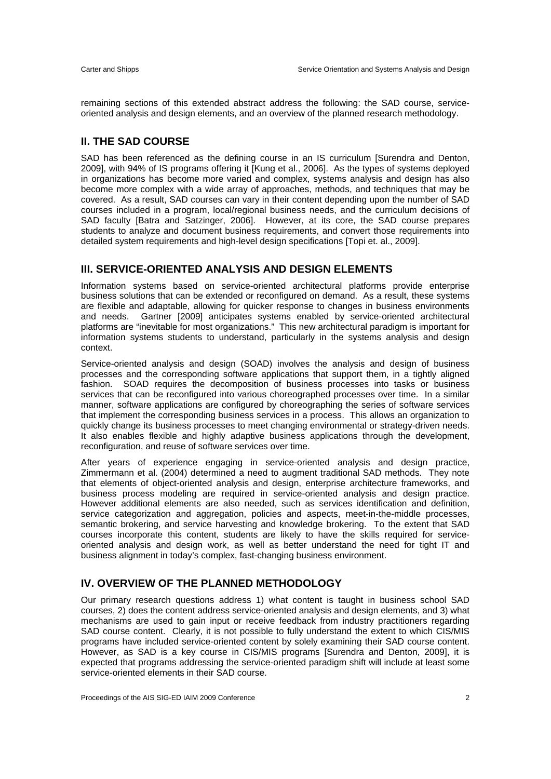remaining sections of this extended abstract address the following: the SAD course, serviceoriented analysis and design elements, and an overview of the planned research methodology.

#### **II. THE SAD COURSE**

SAD has been referenced as the defining course in an IS curriculum [Surendra and Denton, 2009], with 94% of IS programs offering it [Kung et al., 2006]. As the types of systems deployed in organizations has become more varied and complex, systems analysis and design has also become more complex with a wide array of approaches, methods, and techniques that may be covered. As a result, SAD courses can vary in their content depending upon the number of SAD courses included in a program, local/regional business needs, and the curriculum decisions of SAD faculty [Batra and Satzinger, 2006]. However, at its core, the SAD course prepares students to analyze and document business requirements, and convert those requirements into detailed system requirements and high-level design specifications [Topi et. al., 2009].

#### **III. SERVICE-ORIENTED ANALYSIS AND DESIGN ELEMENTS**

Information systems based on service-oriented architectural platforms provide enterprise business solutions that can be extended or reconfigured on demand. As a result, these systems are flexible and adaptable, allowing for quicker response to changes in business environments and needs. Gartner [2009] anticipates systems enabled by service-oriented architectural platforms are "inevitable for most organizations." This new architectural paradigm is important for information systems students to understand, particularly in the systems analysis and design context.

Service-oriented analysis and design (SOAD) involves the analysis and design of business processes and the corresponding software applications that support them, in a tightly aligned fashion. SOAD requires the decomposition of business processes into tasks or business services that can be reconfigured into various choreographed processes over time. In a similar manner, software applications are configured by choreographing the series of software services that implement the corresponding business services in a process. This allows an organization to quickly change its business processes to meet changing environmental or strategy-driven needs. It also enables flexible and highly adaptive business applications through the development, reconfiguration, and reuse of software services over time.

After years of experience engaging in service-oriented analysis and design practice, Zimmermann et al. (2004) determined a need to augment traditional SAD methods. They note that elements of object-oriented analysis and design, enterprise architecture frameworks, and business process modeling are required in service-oriented analysis and design practice. However additional elements are also needed, such as services identification and definition, service categorization and aggregation, policies and aspects, meet-in-the-middle processes, semantic brokering, and service harvesting and knowledge brokering. To the extent that SAD courses incorporate this content, students are likely to have the skills required for serviceoriented analysis and design work, as well as better understand the need for tight IT and business alignment in today's complex, fast-changing business environment.

#### **IV. OVERVIEW OF THE PLANNED METHODOLOGY**

Our primary research questions address 1) what content is taught in business school SAD courses, 2) does the content address service-oriented analysis and design elements, and 3) what mechanisms are used to gain input or receive feedback from industry practitioners regarding SAD course content. Clearly, it is not possible to fully understand the extent to which CIS/MIS programs have included service-oriented content by solely examining their SAD course content. However, as SAD is a key course in CIS/MIS programs [Surendra and Denton, 2009], it is expected that programs addressing the service-oriented paradigm shift will include at least some service-oriented elements in their SAD course.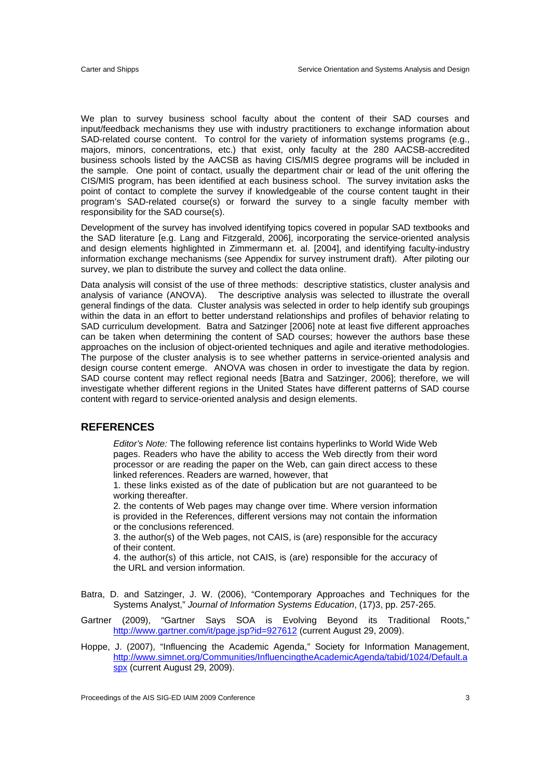We plan to survey business school faculty about the content of their SAD courses and input/feedback mechanisms they use with industry practitioners to exchange information about SAD-related course content. To control for the variety of information systems programs (e.g., majors, minors, concentrations, etc.) that exist, only faculty at the 280 AACSB-accredited business schools listed by the AACSB as having CIS/MIS degree programs will be included in the sample. One point of contact, usually the department chair or lead of the unit offering the CIS/MIS program, has been identified at each business school. The survey invitation asks the point of contact to complete the survey if knowledgeable of the course content taught in their program's SAD-related course(s) or forward the survey to a single faculty member with responsibility for the SAD course(s).

Development of the survey has involved identifying topics covered in popular SAD textbooks and the SAD literature [e.g. Lang and Fitzgerald, 2006], incorporating the service-oriented analysis and design elements highlighted in Zimmermann et. al. [2004], and identifying faculty-industry information exchange mechanisms (see Appendix for survey instrument draft). After piloting our survey, we plan to distribute the survey and collect the data online.

Data analysis will consist of the use of three methods: descriptive statistics, cluster analysis and analysis of variance (ANOVA). The descriptive analysis was selected to illustrate the overall general findings of the data. Cluster analysis was selected in order to help identify sub groupings within the data in an effort to better understand relationships and profiles of behavior relating to SAD curriculum development. Batra and Satzinger [2006] note at least five different approaches can be taken when determining the content of SAD courses; however the authors base these approaches on the inclusion of object-oriented techniques and agile and iterative methodologies. The purpose of the cluster analysis is to see whether patterns in service-oriented analysis and design course content emerge. ANOVA was chosen in order to investigate the data by region. SAD course content may reflect regional needs [Batra and Satzinger, 2006]; therefore, we will investigate whether different regions in the United States have different patterns of SAD course content with regard to service-oriented analysis and design elements.

#### **REFERENCES**

*Editor's Note:* The following reference list contains hyperlinks to World Wide Web pages. Readers who have the ability to access the Web directly from their word processor or are reading the paper on the Web, can gain direct access to these linked references. Readers are warned, however, that

1. these links existed as of the date of publication but are not guaranteed to be working thereafter.

2. the contents of Web pages may change over time. Where version information is provided in the References, different versions may not contain the information or the conclusions referenced.

3. the author(s) of the Web pages, not CAIS, is (are) responsible for the accuracy of their content.

4. the author(s) of this article, not CAIS, is (are) responsible for the accuracy of the URL and version information.

- Batra, D. and Satzinger, J. W. (2006), "Contemporary Approaches and Techniques for the Systems Analyst," *Journal of Information Systems Education*, (17)3, pp. 257-265.
- Gartner (2009), "Gartner Says SOA is Evolving Beyond its Traditional Roots," http://www.gartner.com/it/page.jsp?id=927612 (current August 29, 2009).
- Hoppe, J. (2007), "Influencing the Academic Agenda," Society for Information Management, http://www.simnet.org/Communities/InfluencingtheAcademicAgenda/tabid/1024/Default.a spx (current August 29, 2009).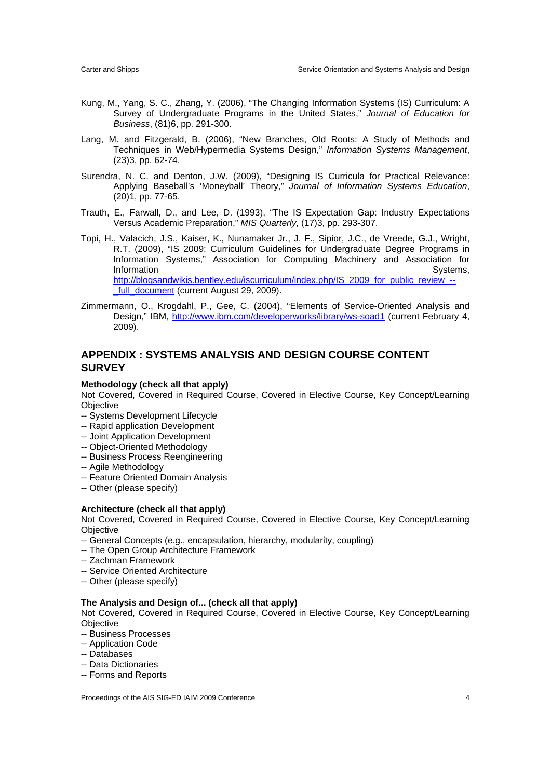- Kung, M., Yang, S. C., Zhang, Y. (2006), "The Changing Information Systems (IS) Curriculum: A Survey of Undergraduate Programs in the United States," *Journal of Education for Business*, (81)6, pp. 291-300.
- Lang, M. and Fitzgerald, B. (2006), "New Branches, Old Roots: A Study of Methods and Techniques in Web/Hypermedia Systems Design," *Information Systems Management*, (23)3, pp. 62-74.
- Surendra, N. C. and Denton, J.W. (2009), "Designing IS Curricula for Practical Relevance: Applying Baseball's 'Moneyball' Theory," *Journal of Information Systems Education*, (20)1, pp. 77-65.
- Trauth, E., Farwall, D., and Lee, D. (1993), "The IS Expectation Gap: Industry Expectations Versus Academic Preparation," *MIS Quarterly*, (17)3, pp. 293-307.
- Topi, H., Valacich, J.S., Kaiser, K., Nunamaker Jr., J. F., Sipior, J.C., de Vreede, G.J., Wright, R.T. (2009), "IS 2009: Curriculum Guidelines for Undergraduate Degree Programs in Information Systems," Association for Computing Machinery and Association for Information Systems, http://blogsandwikis.bentley.edu/iscurriculum/index.php/IS\_2009\_for\_public\_review\_-full\_document (current August 29, 2009).
- Zimmermann, O., Krogdahl, P., Gee, C. (2004), "Elements of Service-Oriented Analysis and Design," IBM, http://www.ibm.com/developerworks/library/ws-soad1 (current February 4, 2009).

#### **APPENDIX : SYSTEMS ANALYSIS AND DESIGN COURSE CONTENT SURVEY**

#### **Methodology (check all that apply)**

Not Covered, Covered in Required Course, Covered in Elective Course, Key Concept/Learning **Objective** 

- -- Systems Development Lifecycle
- -- Rapid application Development
- -- Joint Application Development
- -- Object-Oriented Methodology
- -- Business Process Reengineering
- -- Agile Methodology
- -- Feature Oriented Domain Analysis
- -- Other (please specify)

#### **Architecture (check all that apply)**

Not Covered, Covered in Required Course, Covered in Elective Course, Key Concept/Learning **Objective** 

- -- General Concepts (e.g., encapsulation, hierarchy, modularity, coupling)
- -- The Open Group Architecture Framework
- -- Zachman Framework
- -- Service Oriented Architecture
- -- Other (please specify)

#### **The Analysis and Design of... (check all that apply)**

Not Covered, Covered in Required Course, Covered in Elective Course, Key Concept/Learning **Objective** 

- -- Business Processes
- -- Application Code
- -- Databases
- -- Data Dictionaries
- -- Forms and Reports

Proceedings of the AIS SIG-ED IAIM 2009 Conference 4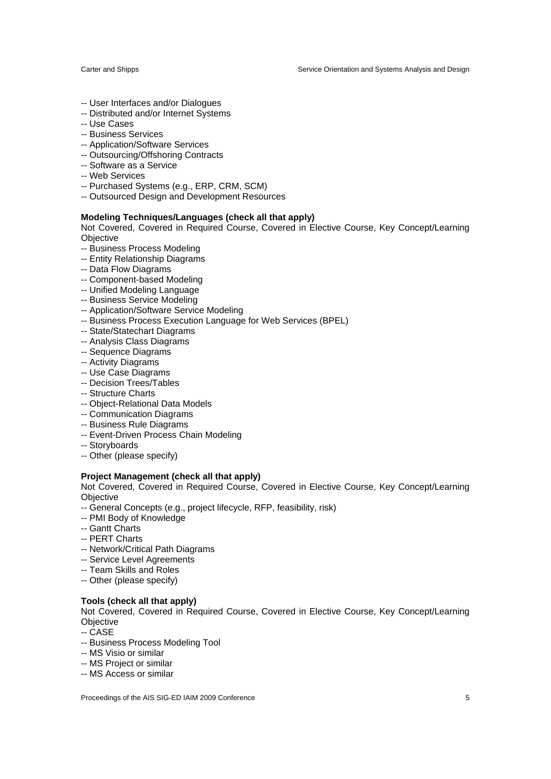Carter and Shipps Service Orientation and Systems Analysis and Design

- -- User Interfaces and/or Dialogues
- -- Distributed and/or Internet Systems
- -- Use Cases
- -- Business Services
- -- Application/Software Services
- -- Outsourcing/Offshoring Contracts
- -- Software as a Service
- -- Web Services
- -- Purchased Systems (e.g., ERP, CRM, SCM)
- -- Outsourced Design and Development Resources

#### **Modeling Techniques/Languages (check all that apply)**

Not Covered, Covered in Required Course, Covered in Elective Course, Key Concept/Learning **Objective** 

- -- Business Process Modeling
- -- Entity Relationship Diagrams
- -- Data Flow Diagrams
- -- Component-based Modeling
- -- Unified Modeling Language
- -- Business Service Modeling
- -- Application/Software Service Modeling
- -- Business Process Execution Language for Web Services (BPEL)
- -- State/Statechart Diagrams
- -- Analysis Class Diagrams
- -- Sequence Diagrams
- -- Activity Diagrams
- -- Use Case Diagrams
- -- Decision Trees/Tables
- -- Structure Charts
- -- Object-Relational Data Models
- -- Communication Diagrams
- -- Business Rule Diagrams
- -- Event-Driven Process Chain Modeling
- -- Storyboards
- -- Other (please specify)

#### **Project Management (check all that apply)**

Not Covered, Covered in Required Course, Covered in Elective Course, Key Concept/Learning **Objective** 

- -- General Concepts (e.g., project lifecycle, RFP, feasibility, risk)
- -- PMI Body of Knowledge
- -- Gantt Charts
- -- PERT Charts
- -- Network/Critical Path Diagrams
- -- Service Level Agreements
- -- Team Skills and Roles
- -- Other (please specify)

#### **Tools (check all that apply)**

Not Covered, Covered in Required Course, Covered in Elective Course, Key Concept/Learning Objective

- -- CASE
- -- Business Process Modeling Tool
- -- MS Visio or similar
- -- MS Project or similar
- -- MS Access or similar

Proceedings of the AIS SIG-ED IAIM 2009 Conference 5